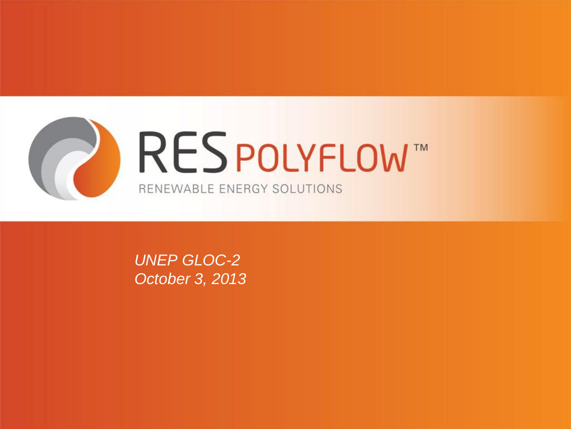

*UNEP GLOC-2 October 3, 2013*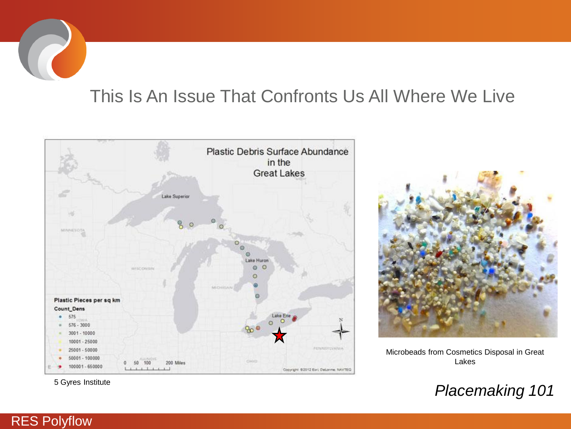# This Is An Issue That Confronts Us All Where We Live





Microbeads from Cosmetics Disposal in Great Lakes

5 Gyres Institute *Placemaking 101*

#### RES Polyflow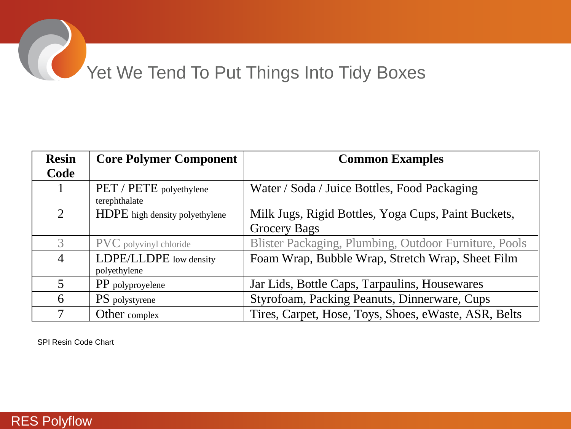# Yet We Tend To Put Things Into Tidy Boxes

| <b>Resin</b>   | <b>Core Polymer Component</b>            | <b>Common Examples</b>                                |
|----------------|------------------------------------------|-------------------------------------------------------|
| Code           |                                          |                                                       |
|                | PET / PETE polyethylene<br>terephthalate | Water / Soda / Juice Bottles, Food Packaging          |
| $\overline{2}$ | HDPE high density polyethylene           | Milk Jugs, Rigid Bottles, Yoga Cups, Paint Buckets,   |
|                |                                          | <b>Grocery Bags</b>                                   |
| $\mathcal{Z}$  | <b>PVC</b> polyvinyl chloride            | Blister Packaging, Plumbing, Outdoor Furniture, Pools |
| $\overline{4}$ | LDPE/LLDPE low density                   | Foam Wrap, Bubble Wrap, Stretch Wrap, Sheet Film      |
|                | polyethylene                             |                                                       |
| $\overline{5}$ | PP polyproyelene                         | Jar Lids, Bottle Caps, Tarpaulins, Housewares         |
| 6              | <b>PS</b> polystyrene                    | Styrofoam, Packing Peanuts, Dinnerware, Cups          |
| $\tau$         | Other complex                            | Tires, Carpet, Hose, Toys, Shoes, eWaste, ASR, Belts  |

SPI Resin Code Chart

#### RES Polyflow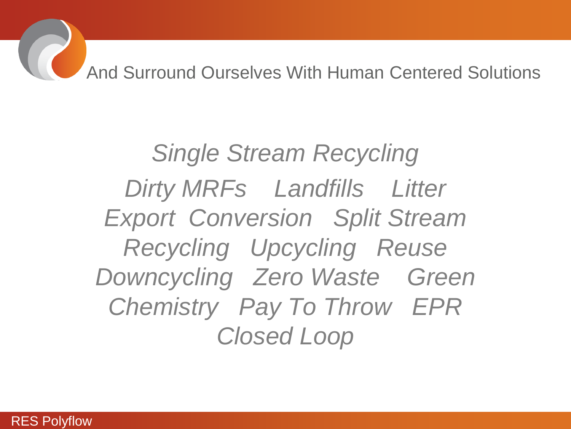And Surround Ourselves With Human Centered Solutions

*Single Stream Recycling Dirty MRFs Landfills Litter Export Conversion Split Stream Recycling Upcycling Reuse Downcycling Zero Waste Green Chemistry Pay To Throw EPR Closed Loop*

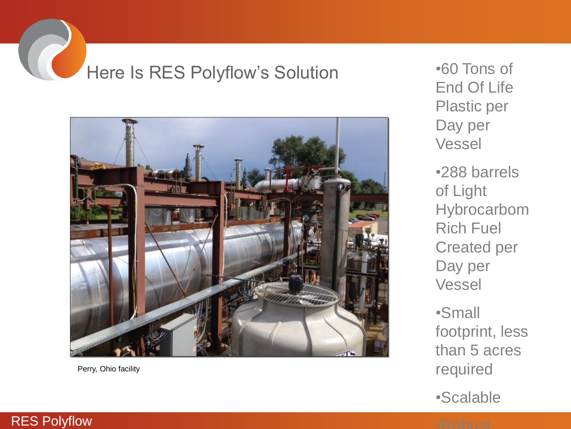# Here Is RES Polyflow's Solution •60 Tons of



Perry, Ohio facility

End Of Life Plastic per Day per Vessel

•288 barrels of Light Hybrocarbom Rich Fuel Created per Day per Vessel

•Small footprint, less than 5 acres required

•Scalable

#### RES Polyflow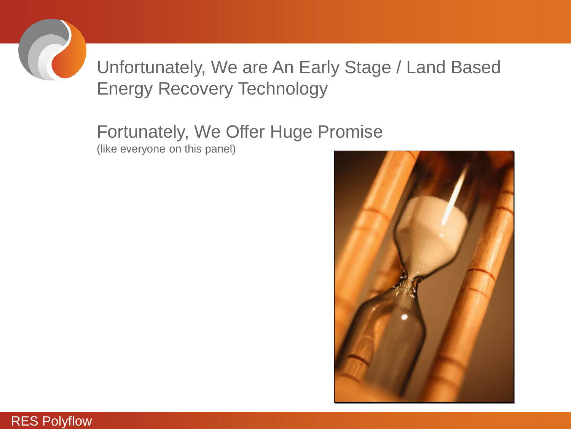

## Unfortunately, We are An Early Stage / Land Based Energy Recovery Technology

#### Fortunately, We Offer Huge Promise (like everyone on this panel)



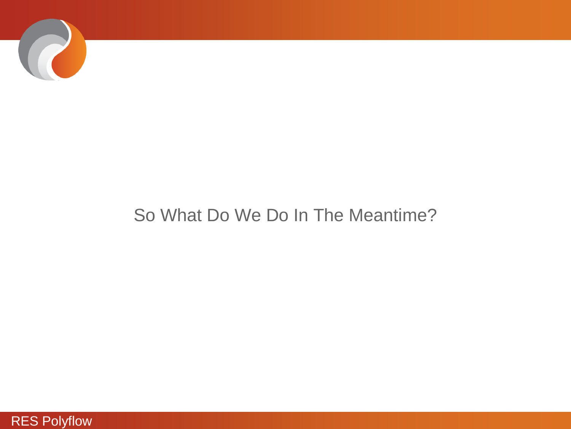

### So What Do We Do In The Meantime?

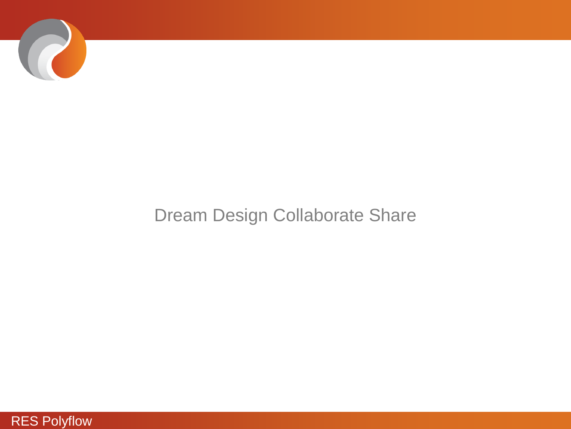

### Dream Design Collaborate Share

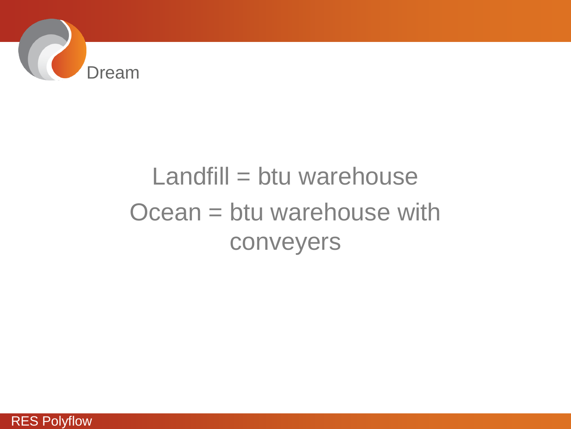

# Landfill = btu warehouse Ocean = btu warehouse with conveyers

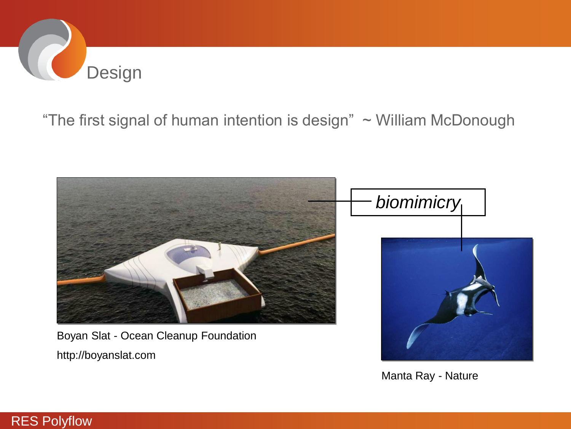

#### "The first signal of human intention is design"  $\sim$  William McDonough



Boyan Slat - Ocean Cleanup Foundation

http://boyanslat.com

RES Polyflow



Manta Ray - Nature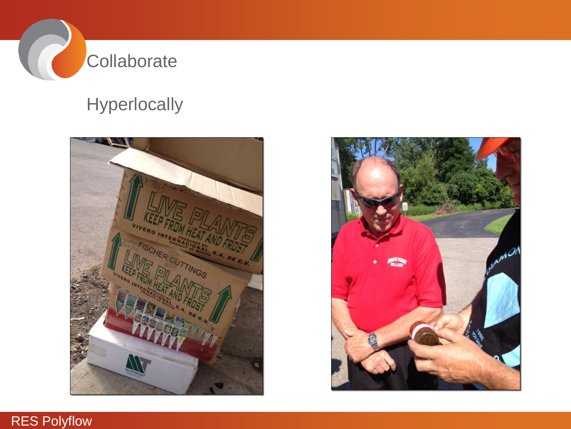

## **Hyperlocally**





#### RES Polyflow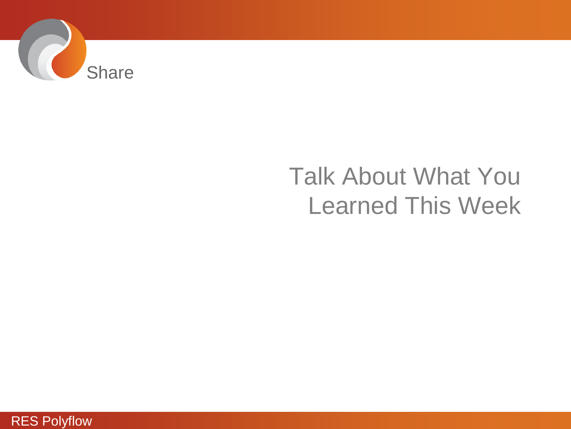

# Talk About What You Learned This Week